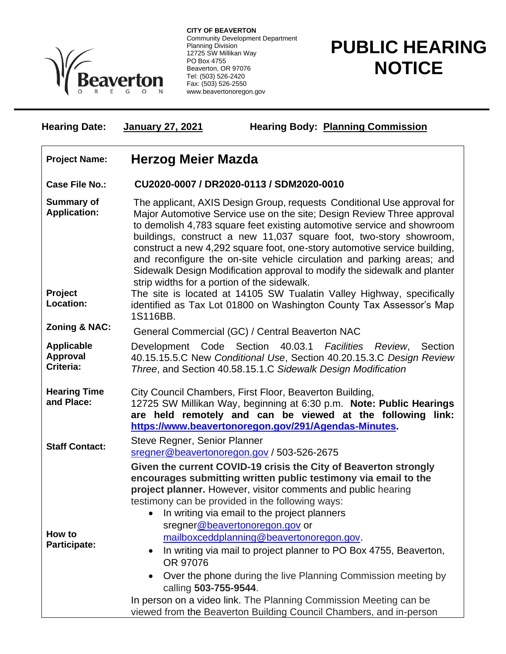

**CITY OF BEAVERTON** Community Development Department Planning Division 12725 SW Millikan Way PO Box 4755 Beaverton, OR 97076 Tel: (503) 526-2420 Fax: (503) 526-2550 www.beavertonoregon.gov

## **PUBLIC HEARING NOTICE**

| <b>Hearing Date:</b> | <b>January 27, 2021</b> | <b>Hearing Body: Planning Commission</b> |
|----------------------|-------------------------|------------------------------------------|
|                      |                         |                                          |

## **Project Name: Herzog Meier Mazda**

## **Case File No.: CU2020-0007 / DR2020-0113 / SDM2020-0010**

- **Summary of Application:** The applicant, AXIS Design Group, requests Conditional Use approval for Major Automotive Service use on the site; Design Review Three approval to demolish 4,783 square feet existing automotive service and showroom buildings, construct a new 11,037 square foot, two-story showroom, construct a new 4,292 square foot, one-story automotive service building, and reconfigure the on-site vehicle circulation and parking areas; and Sidewalk Design Modification approval to modify the sidewalk and planter strip widths for a portion of the sidewalk.
- **Project Location:** The site is located at 14105 SW Tualatin Valley Highway, specifically identified as Tax Lot 01800 on Washington County Tax Assessor's Map 1S116BB.
- **Zoning & NAC:** General Commercial (GC) / Central Beaverton NAC
- **Applicable Approval Criteria:** Development Code Section 40.03.1 *Facilities Review*, Section 40.15.15.5.C New *Conditional Use*, Section 40.20.15.3.C *Design Review Three*, and Section 40.58.15.1.C *Sidewalk Design Modification*
- **Hearing Time**  City Council Chambers, First Floor, Beaverton Building,
- **and Place:** 12725 SW Millikan Way, beginning at 6:30 p.m. **Note: Public Hearings are held remotely and can be viewed at the following link: [https://www.beavertonoregon.gov/291/Agendas-Minutes.](https://www.beavertonoregon.gov/291/Agendas-Minutes)**
- **Staff Contact:** Steve Regner, Senior Planner

**How to Participate:**

- [sregner@beavertonoregon.gov](mailto:sregner@beavertonoregon.gov) / 503-526-2675
	- **Given the current COVID-19 crisis the City of Beaverton strongly encourages submitting written public testimony via email to the project planner.** However, visitor comments and public hearing testimony can be provided in the following ways:
		- In writing via email to the project planners sregne[r@beavertonoregon.gov](mailto:bmartin@beavertonoregon.gov) or
			- [mailboxceddplanning@beavertonoregon.gov.](mailto:mailboxceddplanning@beavertonoregon.gov)
			- In writing via mail to project planner to PO Box 4755, Beaverton, OR 97076
			- Over the phone during the live Planning Commission meeting by calling **503-755-9544**.
	- In person on a video link. The Planning Commission Meeting can be viewed from the Beaverton Building Council Chambers, and in-person